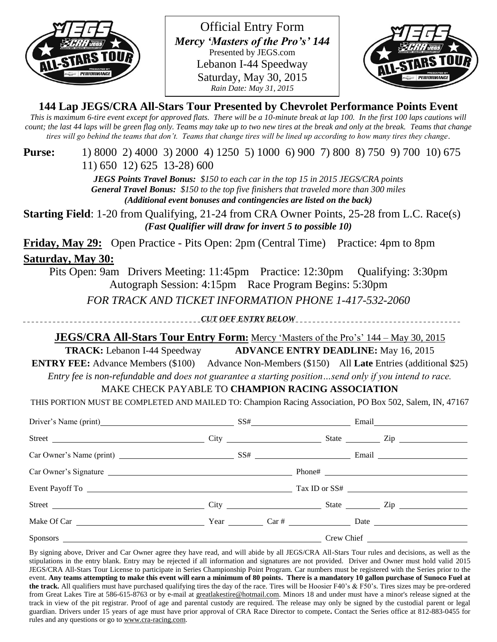

Official Entry Form *Mercy 'Masters of the Pro's' 144* Presented by JEGS.com Lebanon I-44 Speedway Saturday, May 30, 2015 *Rain Date: May 31, 2015*



**144 Lap JEGS/CRA All-Stars Tour Presented by Chevrolet Performance Points Event**

*This is maximum 6-tire event except for approved flats. There will be a 10-minute break at lap 100. In the first 100 laps cautions will count; the last 44 laps will be green flag only. Teams may take up to two new tires at the break and only at the break. Teams that change tires will go behind the teams that don't. Teams that change tires will be lined up according to how many tires they change.*

## **Purse:** 1) 8000 2) 4000 3) 2000 4) 1250 5) 1000 6) 900 7) 800 8) 750 9) 700 10) 675 11) 650 12) 625 13-28) 600

*JEGS Points Travel Bonus: \$150 to each car in the top 15 in 2015 JEGS/CRA points General Travel Bonus: \$150 to the top five finishers that traveled more than 300 miles (Additional event bonuses and contingencies are listed on the back)*

**Starting Field**: 1-20 from Qualifying, 21-24 from CRA Owner Points, 25-28 from L.C. Race(s) *(Fast Qualifier will draw for invert 5 to possible 10)*

**Friday, May 29:** Open Practice - Pits Open: 2pm (Central Time) Practice: 4pm to 8pm **Saturday, May 30:**

Pits Open: 9am Drivers Meeting: 11:45pm Practice: 12:30pm Qualifying: 3:30pm Autograph Session: 4:15pm Race Program Begins: 5:30pm

*FOR TRACK AND TICKET INFORMATION PHONE 1-417-532-2060*

*CUT OFF ENTRY BELOW*

# **JEGS/CRA All-Stars Tour Entry Form:** Mercy 'Masters of the Pro's' 144 – May 30, 2015

**TRACK:** Lebanon I-44 Speedway **ADVANCE ENTRY DEADLINE:** May 16, 2015

**ENTRY FEE:** Advance Members (\$100) Advance Non-Members (\$150) All **Late** Entries (additional \$25) *Entry fee is non-refundable and does not guarantee a starting position…send only if you intend to race.*

MAKE CHECK PAYABLE TO **CHAMPION RACING ASSOCIATION**

THIS PORTION MUST BE COMPLETED AND MAILED TO: Champion Racing Association, PO Box 502, Salem, IN, 47167

| Driver's Name (print) SS# Email Email |  |  |  |
|---------------------------------------|--|--|--|
|                                       |  |  |  |
|                                       |  |  |  |
|                                       |  |  |  |
|                                       |  |  |  |
|                                       |  |  |  |
|                                       |  |  |  |
|                                       |  |  |  |

By signing above, Driver and Car Owner agree they have read, and will abide by all JEGS/CRA All-Stars Tour rules and decisions, as well as the stipulations in the entry blank. Entry may be rejected if all information and signatures are not provided. Driver and Owner must hold valid 2015 JEGS/CRA All-Stars Tour License to participate in Series Championship Point Program. Car numbers must be registered with the Series prior to the event. **Any teams attempting to make this event will earn a minimum of 80 points. There is a mandatory 10 gallon purchase of Sunoco Fuel at the track.** All qualifiers must have purchased qualifying tires the day of the race. Tires will be Hoosier F40's & F50's. Tires sizes may be pre-ordered from Great Lakes Tire at 586-615-8763 or by e-mail at [greatlakestire@hotmail.com.](mailto:greatlakestire@hotmail.com) Minors 18 and under must have a minor's release signed at the track in view of the pit registrar. Proof of age and parental custody are required. The release may only be signed by the custodial parent or legal guardian. Drivers under 15 years of age must have prior approval of CRA Race Director to compete**.** Contact the Series office at 812-883-0455 for rules and any questions or go t[o www.cra-racing.com.](http://www.cra-racing.com/)